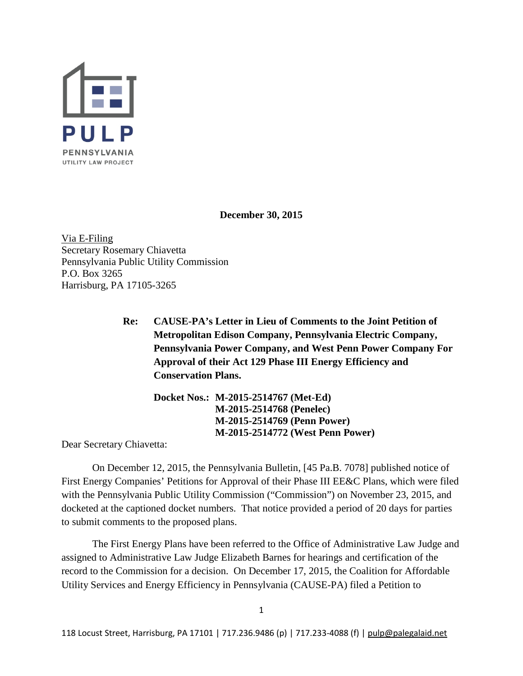

**December 30, 2015**

Via E-Filing Secretary Rosemary Chiavetta Pennsylvania Public Utility Commission P.O. Box 3265 Harrisburg, PA 17105-3265

> **Re: CAUSE-PA's Letter in Lieu of Comments to the Joint Petition of Metropolitan Edison Company, Pennsylvania Electric Company, Pennsylvania Power Company, and West Penn Power Company For Approval of their Act 129 Phase III Energy Efficiency and Conservation Plans.**

**Docket Nos.: M-2015-2514767 (Met-Ed) M-2015-2514768 (Penelec) M-2015-2514769 (Penn Power) M-2015-2514772 (West Penn Power)**

Dear Secretary Chiavetta:

On December 12, 2015, the Pennsylvania Bulletin, [45 Pa.B. 7078] published notice of First Energy Companies' Petitions for Approval of their Phase III EE&C Plans, which were filed with the Pennsylvania Public Utility Commission ("Commission") on November 23, 2015, and docketed at the captioned docket numbers. That notice provided a period of 20 days for parties to submit comments to the proposed plans.

The First Energy Plans have been referred to the Office of Administrative Law Judge and assigned to Administrative Law Judge Elizabeth Barnes for hearings and certification of the record to the Commission for a decision. On December 17, 2015, the Coalition for Affordable Utility Services and Energy Efficiency in Pennsylvania (CAUSE-PA) filed a Petition to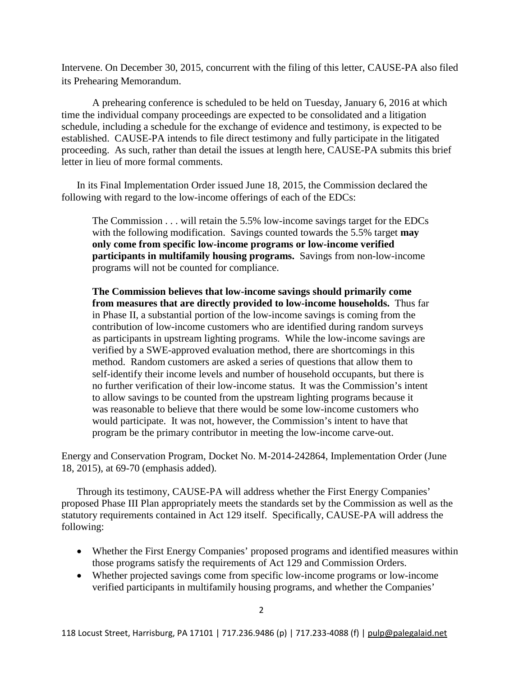Intervene. On December 30, 2015, concurrent with the filing of this letter, CAUSE-PA also filed its Prehearing Memorandum.

A prehearing conference is scheduled to be held on Tuesday, January 6, 2016 at which time the individual company proceedings are expected to be consolidated and a litigation schedule, including a schedule for the exchange of evidence and testimony, is expected to be established. CAUSE-PA intends to file direct testimony and fully participate in the litigated proceeding. As such, rather than detail the issues at length here, CAUSE-PA submits this brief letter in lieu of more formal comments.

In its Final Implementation Order issued June 18, 2015, the Commission declared the following with regard to the low-income offerings of each of the EDCs:

The Commission . . . will retain the 5.5% low-income savings target for the EDCs with the following modification. Savings counted towards the 5.5% target **may only come from specific low-income programs or low-income verified participants in multifamily housing programs.** Savings from non-low-income programs will not be counted for compliance.

**The Commission believes that low-income savings should primarily come from measures that are directly provided to low-income households.** Thus far in Phase II, a substantial portion of the low-income savings is coming from the contribution of low-income customers who are identified during random surveys as participants in upstream lighting programs. While the low-income savings are verified by a SWE-approved evaluation method, there are shortcomings in this method. Random customers are asked a series of questions that allow them to self-identify their income levels and number of household occupants, but there is no further verification of their low-income status. It was the Commission's intent to allow savings to be counted from the upstream lighting programs because it was reasonable to believe that there would be some low-income customers who would participate. It was not, however, the Commission's intent to have that program be the primary contributor in meeting the low-income carve-out.

Energy and Conservation Program, Docket No. M-2014-242864, Implementation Order (June 18, 2015), at 69-70 (emphasis added).

Through its testimony, CAUSE-PA will address whether the First Energy Companies' proposed Phase III Plan appropriately meets the standards set by the Commission as well as the statutory requirements contained in Act 129 itself. Specifically, CAUSE-PA will address the following:

- Whether the First Energy Companies' proposed programs and identified measures within those programs satisfy the requirements of Act 129 and Commission Orders.
- Whether projected savings come from specific low-income programs or low-income verified participants in multifamily housing programs, and whether the Companies'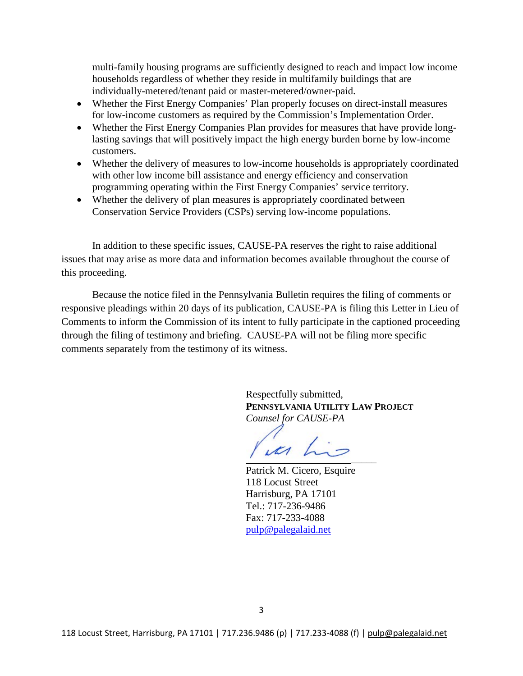multi-family housing programs are sufficiently designed to reach and impact low income households regardless of whether they reside in multifamily buildings that are individually-metered/tenant paid or master-metered/owner-paid.

- Whether the First Energy Companies' Plan properly focuses on direct-install measures for low-income customers as required by the Commission's Implementation Order.
- Whether the First Energy Companies Plan provides for measures that have provide longlasting savings that will positively impact the high energy burden borne by low-income customers.
- Whether the delivery of measures to low-income households is appropriately coordinated with other low income bill assistance and energy efficiency and conservation programming operating within the First Energy Companies' service territory.
- Whether the delivery of plan measures is appropriately coordinated between Conservation Service Providers (CSPs) serving low-income populations.

In addition to these specific issues, CAUSE-PA reserves the right to raise additional issues that may arise as more data and information becomes available throughout the course of this proceeding.

Because the notice filed in the Pennsylvania Bulletin requires the filing of comments or responsive pleadings within 20 days of its publication, CAUSE-PA is filing this Letter in Lieu of Comments to inform the Commission of its intent to fully participate in the captioned proceeding through the filing of testimony and briefing. CAUSE-PA will not be filing more specific comments separately from the testimony of its witness.

> Respectfully submitted, **PENNSYLVANIA UTILITY LAW PROJECT** *Counsel for CAUSE-PA*

 $\overline{\phantom{a}}$ 

Patrick M. Cicero, Esquire 118 Locust Street Harrisburg, PA 17101 Tel.: 717-236-9486 Fax: 717-233-4088 [pulp@palegalaid.net](mailto:pulp@palegalaid.net)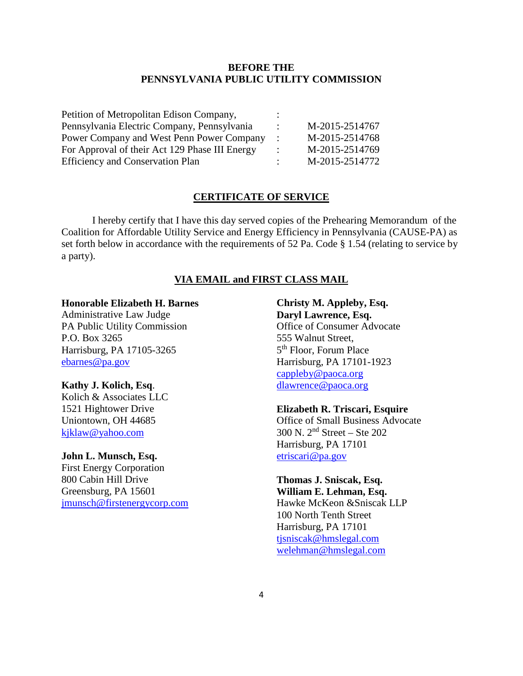## **BEFORE THE PENNSYLVANIA PUBLIC UTILITY COMMISSION**

| Petition of Metropolitan Edison Company,       |                |
|------------------------------------------------|----------------|
| Pennsylvania Electric Company, Pennsylvania    | M-2015-2514767 |
| Power Company and West Penn Power Company      | M-2015-2514768 |
| For Approval of their Act 129 Phase III Energy | M-2015-2514769 |
| <b>Efficiency and Conservation Plan</b>        | M-2015-2514772 |

### **CERTIFICATE OF SERVICE**

I hereby certify that I have this day served copies of the Prehearing Memorandum of the Coalition for Affordable Utility Service and Energy Efficiency in Pennsylvania (CAUSE-PA) as set forth below in accordance with the requirements of 52 Pa. Code § 1.54 (relating to service by a party).

### **VIA EMAIL and FIRST CLASS MAIL**

#### **Honorable Elizabeth H. Barnes**

Administrative Law Judge PA Public Utility Commission P.O. Box 3265 Harrisburg, PA 17105-3265 [ebarnes@pa.gov](mailto:ebarnes@pa.gov)

#### **Kathy J. Kolich, Esq**.

Kolich & Associates LLC 1521 Hightower Drive Uniontown, OH 44685 [kjklaw@yahoo.com](mailto:kjklaw@yahoo.com)

#### **John L. Munsch, Esq.**

First Energy Corporation 800 Cabin Hill Drive Greensburg, PA 15601 [jmunsch@firstenergycorp.com](mailto:jmunsch@firstenergycorp.com)

# **Christy M. Appleby, Esq. Daryl Lawrence, Esq.** Office of Consumer Advocate 555 Walnut Street, 5th Floor, Forum Place Harrisburg, PA 17101-1923 [cappleby@paoca.org](mailto:cappleby@paoca.org) [dlawrence@paoca.org](mailto:dlawrence@paoca.org)

### **Elizabeth R. Triscari, Esquire**

Office of Small Business Advocate 300 N. 2nd Street – Ste 202 Harrisburg, PA 17101 [etriscari@pa.gov](mailto:etriscari@pa.gov)

# **Thomas J. Sniscak, Esq.**

**William E. Lehman, Esq.** Hawke McKeon &Sniscak LLP 100 North Tenth Street Harrisburg, PA 17101 [tjsniscak@hmslegal.com](mailto:tjsniscak@hmslegal.com) [welehman@hmslegal.com](mailto:welehman@hmslegal.com)